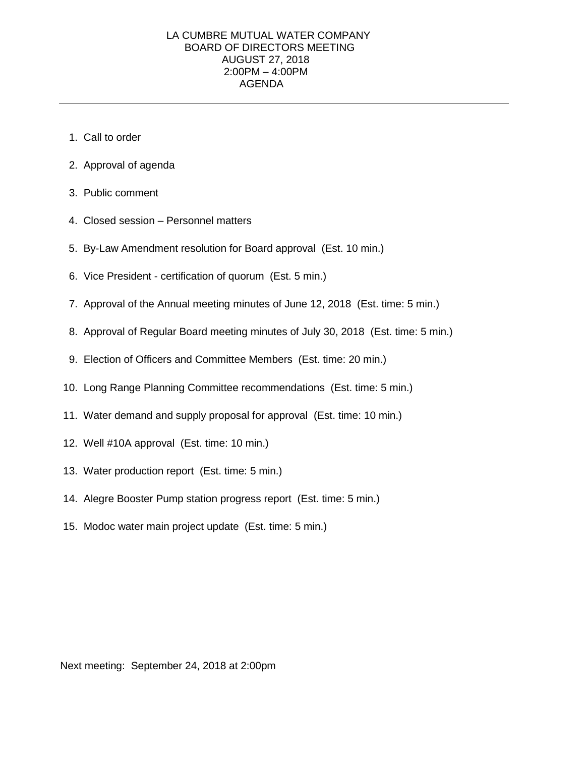## LA CUMBRE MUTUAL WATER COMPANY BOARD OF DIRECTORS MEETING AUGUST 27, 2018 2:00PM – 4:00PM AGENDA

- 1. Call to order
- 2. Approval of agenda
- 3. Public comment
- 4. Closed session Personnel matters
- 5. By-Law Amendment resolution for Board approval (Est. 10 min.)
- 6. Vice President certification of quorum (Est. 5 min.)
- 7. Approval of the Annual meeting minutes of June 12, 2018 (Est. time: 5 min.)
- 8. Approval of Regular Board meeting minutes of July 30, 2018 (Est. time: 5 min.)
- 9. Election of Officers and Committee Members (Est. time: 20 min.)
- 10. Long Range Planning Committee recommendations (Est. time: 5 min.)
- 11. Water demand and supply proposal for approval (Est. time: 10 min.)
- 12. Well #10A approval (Est. time: 10 min.)
- 13. Water production report (Est. time: 5 min.)
- 14. Alegre Booster Pump station progress report (Est. time: 5 min.)
- 15. Modoc water main project update (Est. time: 5 min.)

Next meeting: September 24, 2018 at 2:00pm